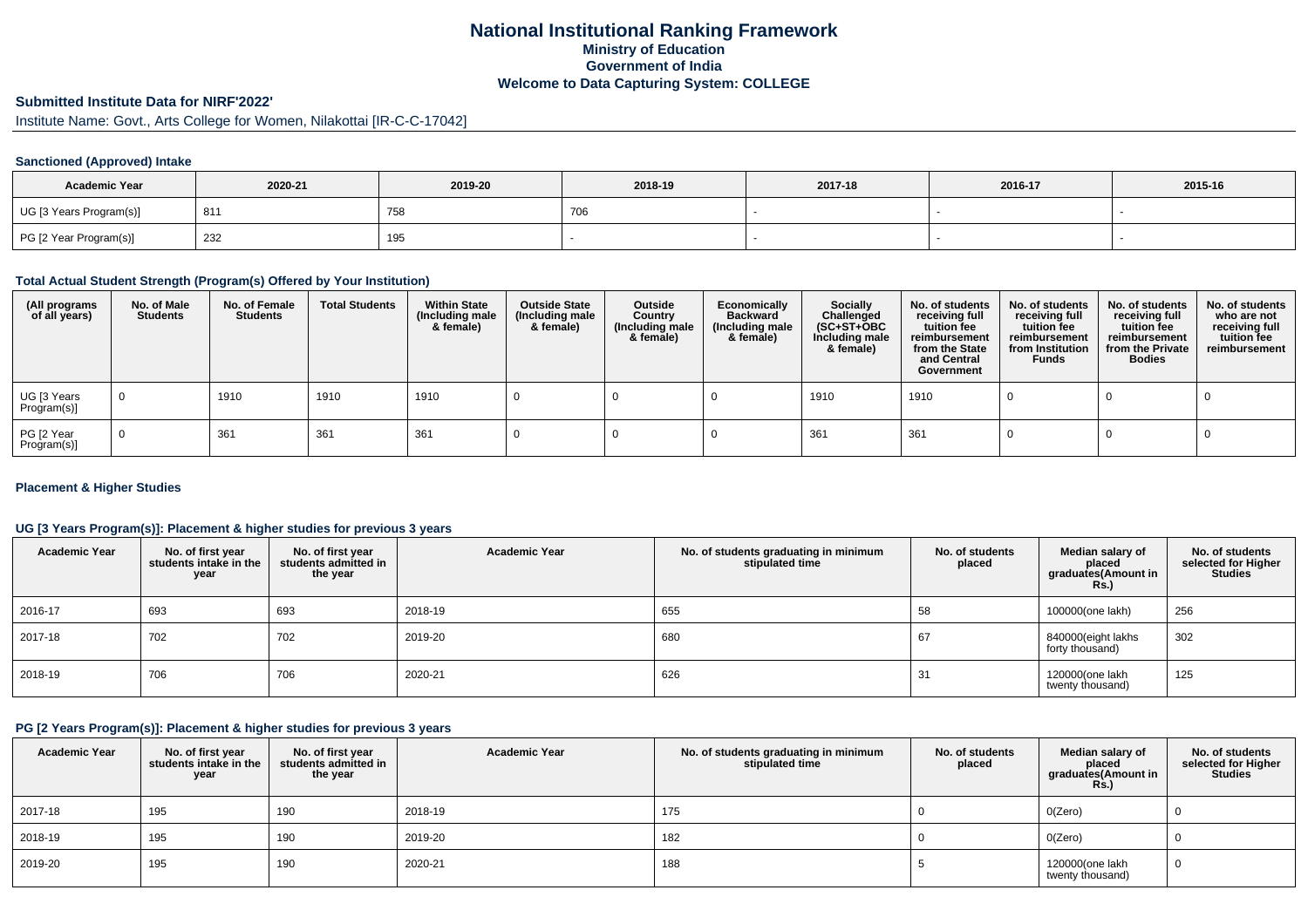## **National Institutional Ranking FrameworkMinistry of Education Government of IndiaWelcome to Data Capturing System: COLLEGE**

# **Submitted Institute Data for NIRF'2022'**

Institute Name: Govt., Arts College for Women, Nilakottai [IR-C-C-17042]

## **Sanctioned (Approved) Intake**

| <b>Academic Year</b>    | 2020-21 | 2019-20 | 2018-19      | 2017-18 | 2016-17 | 2015-16 |
|-------------------------|---------|---------|--------------|---------|---------|---------|
| UG [3 Years Program(s)] | 811     | 75٤     | $\check{\,}$ |         |         |         |
| PG [2 Year Program(s)]  | 232     | 195     |              |         |         |         |

#### **Total Actual Student Strength (Program(s) Offered by Your Institution)**

| (All programs<br>of all years) | No. of Male<br><b>Students</b> | No. of Female<br>Students | <b>Total Students</b> | <b>Within State</b><br>(Including male<br>& female) | <b>Outside State</b><br>(Including male<br>& female) | Outside<br>Country<br>(Including male<br>& female) | Economically<br><b>Backward</b><br>(Including male<br>& female) | <b>Socially</b><br>Challenged<br>$(SC+ST+OBC)$<br>Including male<br>& female) | No. of students<br>receiving full<br>tuition fee<br>reimbursement<br>from the State<br>and Central<br>Government | No. of students<br>receiving full<br>tuition fee<br>reimbursement<br>from Institution<br><b>Funds</b> | No. of students<br>receiving full<br>tuition fee<br>reimbursement<br>from the Private<br><b>Bodies</b> | No. of students<br>who are not<br>receiving full<br>tuition fee<br>reimbursement |
|--------------------------------|--------------------------------|---------------------------|-----------------------|-----------------------------------------------------|------------------------------------------------------|----------------------------------------------------|-----------------------------------------------------------------|-------------------------------------------------------------------------------|------------------------------------------------------------------------------------------------------------------|-------------------------------------------------------------------------------------------------------|--------------------------------------------------------------------------------------------------------|----------------------------------------------------------------------------------|
| UG [3 Years<br>Program(s)]     | $\mathbf 0$                    | 1910                      | 1910                  | 1910                                                |                                                      |                                                    |                                                                 | 1910                                                                          | 1910                                                                                                             |                                                                                                       |                                                                                                        |                                                                                  |
| PG [2 Year<br>Program(s)]      | $\Omega$                       | 361                       | 361                   | 361                                                 |                                                      |                                                    |                                                                 | 361                                                                           | 361                                                                                                              |                                                                                                       |                                                                                                        |                                                                                  |

### **Placement & Higher Studies**

### **UG [3 Years Program(s)]: Placement & higher studies for previous 3 years**

| <b>Academic Year</b> | No. of first year<br>students intake in the<br>year | No. of first year<br>students admitted in<br>the year | <b>Academic Year</b> | No. of students graduating in minimum<br>stipulated time | No. of students<br>placed | Median salary of<br>placed<br>graduates(Amount in<br>Rs.) | No. of students<br>selected for Higher<br><b>Studies</b> |
|----------------------|-----------------------------------------------------|-------------------------------------------------------|----------------------|----------------------------------------------------------|---------------------------|-----------------------------------------------------------|----------------------------------------------------------|
| 2016-17              | 693                                                 | 693                                                   | 2018-19              | 655                                                      | 58                        | 100000(one lakh)                                          | 256                                                      |
| 2017-18              | 702                                                 | 702                                                   | 2019-20              | 680                                                      | 67                        | 840000(eight lakhs<br>forty thousand)                     | 302                                                      |
| 2018-19              | 706                                                 | 706                                                   | 2020-21              | 626                                                      | 31                        | 120000(one lakh<br>twenty thousand)                       | 125                                                      |

### **PG [2 Years Program(s)]: Placement & higher studies for previous 3 years**

| <b>Academic Year</b> | No. of first year<br>students intake in the<br>year | No. of first vear<br>students admitted in<br>the year | <b>Academic Year</b> | No. of students graduating in minimum<br>stipulated time | No. of students<br>placed | Median salary of<br>placed<br>graduates(Amount in<br><b>Rs.)</b> | No. of students<br>selected for Higher<br><b>Studies</b> |
|----------------------|-----------------------------------------------------|-------------------------------------------------------|----------------------|----------------------------------------------------------|---------------------------|------------------------------------------------------------------|----------------------------------------------------------|
| 2017-18              | 195                                                 | 190                                                   | 2018-19              | 175                                                      |                           | O(Zero)                                                          |                                                          |
| 2018-19              | 195                                                 | 190                                                   | 2019-20              | 182                                                      |                           | O(Zero)                                                          |                                                          |
| 2019-20              | 195                                                 | 190                                                   | 2020-21              | 188                                                      |                           | 120000(one lakh<br>twenty thousand)                              | 0                                                        |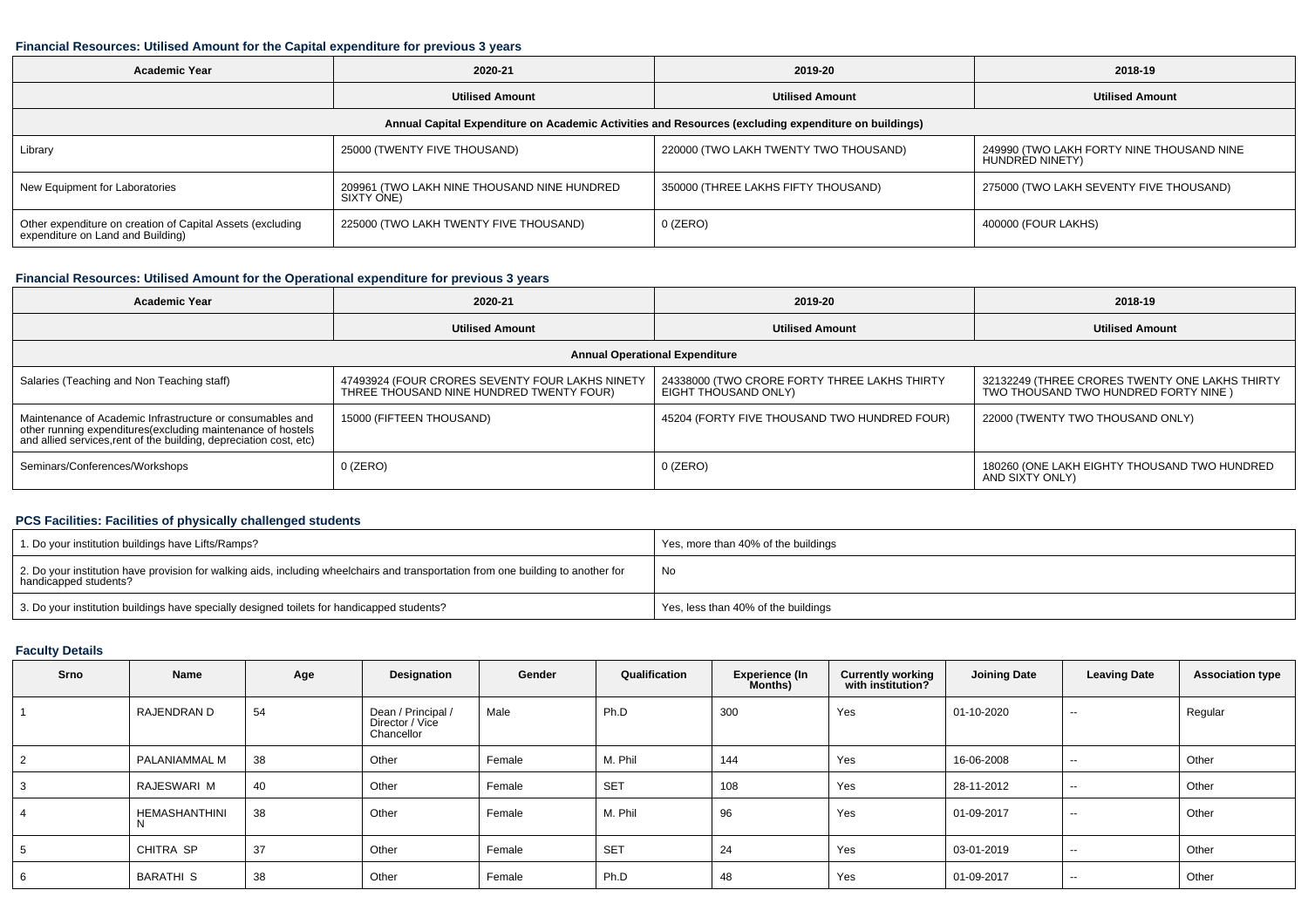#### **Financial Resources: Utilised Amount for the Capital expenditure for previous 3 years**

| Academic Year                                                                                        | 2020-21                                                   | 2019-20                               | 2018-19                                                      |  |  |  |  |  |  |  |  |
|------------------------------------------------------------------------------------------------------|-----------------------------------------------------------|---------------------------------------|--------------------------------------------------------------|--|--|--|--|--|--|--|--|
|                                                                                                      | <b>Utilised Amount</b>                                    | <b>Utilised Amount</b>                | <b>Utilised Amount</b>                                       |  |  |  |  |  |  |  |  |
| Annual Capital Expenditure on Academic Activities and Resources (excluding expenditure on buildings) |                                                           |                                       |                                                              |  |  |  |  |  |  |  |  |
| Library                                                                                              | 25000 (TWENTY FIVE THOUSAND)                              | 220000 (TWO LAKH TWENTY TWO THOUSAND) | 249990 (TWO LAKH FORTY NINE THOUSAND NINE<br>HUNDRED NINETY) |  |  |  |  |  |  |  |  |
| New Equipment for Laboratories                                                                       | 209961 (TWO LAKH NINE THOUSAND NINE HUNDRED<br>SIXTY ONE) | 350000 (THREE LAKHS FIFTY THOUSAND)   | 275000 (TWO LAKH SEVENTY FIVE THOUSAND)                      |  |  |  |  |  |  |  |  |
| Other expenditure on creation of Capital Assets (excluding<br>expenditure on Land and Building)      | 225000 (TWO LAKH TWENTY FIVE THOUSAND)                    | $0$ (ZERO)                            | 400000 (FOUR LAKHS)                                          |  |  |  |  |  |  |  |  |

## **Financial Resources: Utilised Amount for the Operational expenditure for previous 3 years**

| <b>Academic Year</b>                                                                                                                                                                          | 2020-21                                                                                     | 2019-20                                                              | 2018-19                                                                                 |  |  |  |  |  |  |  |
|-----------------------------------------------------------------------------------------------------------------------------------------------------------------------------------------------|---------------------------------------------------------------------------------------------|----------------------------------------------------------------------|-----------------------------------------------------------------------------------------|--|--|--|--|--|--|--|
|                                                                                                                                                                                               | <b>Utilised Amount</b>                                                                      | <b>Utilised Amount</b>                                               | <b>Utilised Amount</b>                                                                  |  |  |  |  |  |  |  |
| <b>Annual Operational Expenditure</b>                                                                                                                                                         |                                                                                             |                                                                      |                                                                                         |  |  |  |  |  |  |  |
| Salaries (Teaching and Non Teaching staff)                                                                                                                                                    | 47493924 (FOUR CRORES SEVENTY FOUR LAKHS NINETY<br>THREE THOUSAND NINE HUNDRED TWENTY FOUR) | 24338000 (TWO CRORE FORTY THREE LAKHS THIRTY<br>EIGHT THOUSAND ONLY) | 32132249 (THREE CRORES TWENTY ONE LAKHS THIRTY<br>TWO THOUSAND TWO HUNDRED FORTY NINE ) |  |  |  |  |  |  |  |
| Maintenance of Academic Infrastructure or consumables and<br>other running expenditures(excluding maintenance of hostels<br>and allied services,rent of the building, depreciation cost, etc) | 15000 (FIFTEEN THOUSAND)                                                                    | 45204 (FORTY FIVE THOUSAND TWO HUNDRED FOUR)                         | 22000 (TWENTY TWO THOUSAND ONLY)                                                        |  |  |  |  |  |  |  |
| Seminars/Conferences/Workshops                                                                                                                                                                | 0 (ZERO)                                                                                    | $0$ (ZERO)                                                           | 180260 (ONE LAKH EIGHTY THOUSAND TWO HUNDRED<br>AND SIXTY ONLY)                         |  |  |  |  |  |  |  |

### **PCS Facilities: Facilities of physically challenged students**

| 1. Do your institution buildings have Lifts/Ramps?                                                                                                         | Yes, more than 40% of the buildings |
|------------------------------------------------------------------------------------------------------------------------------------------------------------|-------------------------------------|
| 2. Do your institution have provision for walking aids, including wheelchairs and transportation from one building to another for<br>handicapped students? | No                                  |
| 3. Do your institution buildings have specially designed toilets for handicapped students?                                                                 | Yes, less than 40% of the buildings |

### **Faculty Details**

| Srno           | Name                 | Age | Designation                                         | Gender | Qualification   | <b>Experience (In</b><br>Months) | <b>Currently working</b><br>with institution? | Joining Date | <b>Leaving Date</b> | <b>Association type</b> |
|----------------|----------------------|-----|-----------------------------------------------------|--------|-----------------|----------------------------------|-----------------------------------------------|--------------|---------------------|-------------------------|
|                | RAJENDRAN D          | 54  | Dean / Principal /<br>Director / Vice<br>Chancellor | Male   | Ph.D            | 300                              | Yes                                           | 01-10-2020   | $\sim$              | Regular                 |
| $\overline{2}$ | PALANIAMMAL M        | 38  | Other                                               | Female | M. Phil         | 144                              | Yes                                           | 16-06-2008   | $- -$               | Other                   |
| 3              | RAJESWARI M          | 40  | Other                                               | Female | SE <sub>1</sub> | 108                              | Yes                                           | 28-11-2012   | $-$                 | Other                   |
| $\overline{4}$ | <b>HEMASHANTHINI</b> | 38  | Other                                               | Female | M. Phil         | 96                               | Yes                                           | 01-09-2017   | $\sim$              | Other                   |
| 5              | CHITRA SP            | 37  | Other                                               | Female | SE <sub>1</sub> | 24                               | Yes                                           | 03-01-2019   | $\sim$ $\sim$       | Other                   |
| 6              | BARATHI <sub>S</sub> | 38  | Other                                               | Female | Ph.D            | 48                               | Yes                                           | 01-09-2017   | $-$                 | Other                   |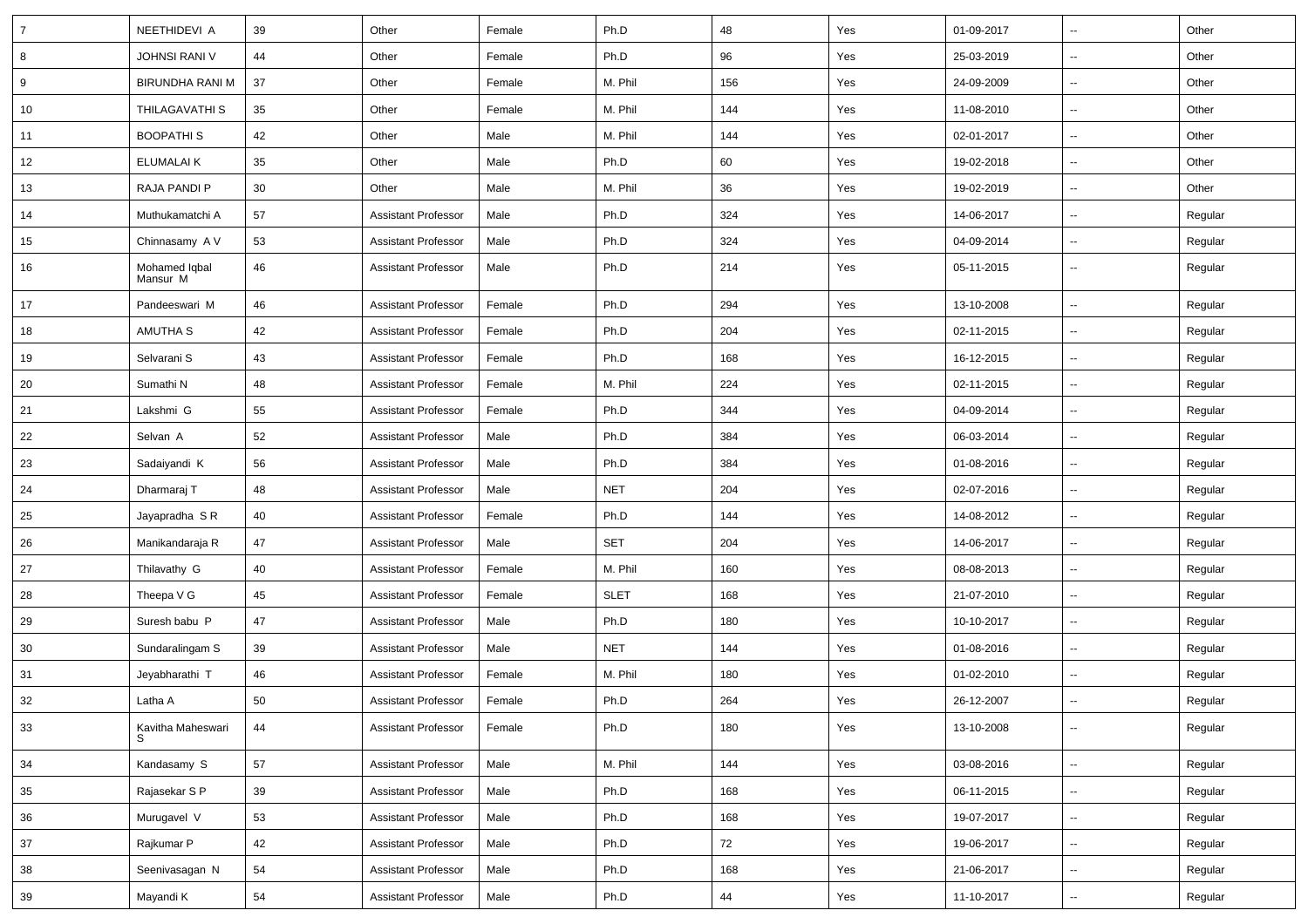| $\overline{7}$ | NEETHIDEVI A              | 39 | Other                      | Female | Ph.D        | 48  | Yes | 01-09-2017 | $\overline{\phantom{a}}$ | Other   |
|----------------|---------------------------|----|----------------------------|--------|-------------|-----|-----|------------|--------------------------|---------|
| 8              | <b>JOHNSI RANI V</b>      | 44 | Other                      | Female | Ph.D        | 96  | Yes | 25-03-2019 | $\sim$                   | Other   |
| 9              | BIRUNDHA RANI M           | 37 | Other                      | Female | M. Phil     | 156 | Yes | 24-09-2009 |                          | Other   |
| 10             | <b>THILAGAVATHI S</b>     | 35 | Other                      | Female | M. Phil     | 144 | Yes | 11-08-2010 | --                       | Other   |
| 11             | <b>BOOPATHIS</b>          | 42 | Other                      | Male   | M. Phil     | 144 | Yes | 02-01-2017 | $\overline{\phantom{a}}$ | Other   |
| 12             | <b>ELUMALAIK</b>          | 35 | Other                      | Male   | Ph.D        | 60  | Yes | 19-02-2018 | $\overline{a}$           | Other   |
| 13             | RAJA PANDI P              | 30 | Other                      | Male   | M. Phil     | 36  | Yes | 19-02-2019 | $\sim$                   | Other   |
| 14             | Muthukamatchi A           | 57 | <b>Assistant Professor</b> | Male   | Ph.D        | 324 | Yes | 14-06-2017 | $\sim$                   | Regular |
| 15             | Chinnasamy A V            | 53 | <b>Assistant Professor</b> | Male   | Ph.D        | 324 | Yes | 04-09-2014 | $\overline{\phantom{a}}$ | Regular |
| 16             | Mohamed Iqbal<br>Mansur M | 46 | <b>Assistant Professor</b> | Male   | Ph.D        | 214 | Yes | 05-11-2015 | $\sim$                   | Regular |
| 17             | Pandeeswari M             | 46 | <b>Assistant Professor</b> | Female | Ph.D        | 294 | Yes | 13-10-2008 |                          | Regular |
| 18             | AMUTHA S                  | 42 | <b>Assistant Professor</b> | Female | Ph.D        | 204 | Yes | 02-11-2015 | --                       | Regular |
| 19             | Selvarani S               | 43 | <b>Assistant Professor</b> | Female | Ph.D        | 168 | Yes | 16-12-2015 | $\sim$                   | Regular |
| 20             | Sumathi N                 | 48 | <b>Assistant Professor</b> | Female | M. Phil     | 224 | Yes | 02-11-2015 | $\sim$                   | Regular |
| 21             | Lakshmi G                 | 55 | <b>Assistant Professor</b> | Female | Ph.D        | 344 | Yes | 04-09-2014 | $\sim$                   | Regular |
| 22             | Selvan A                  | 52 | <b>Assistant Professor</b> | Male   | Ph.D        | 384 | Yes | 06-03-2014 |                          | Regular |
| 23             | Sadaiyandi K              | 56 | <b>Assistant Professor</b> | Male   | Ph.D        | 384 | Yes | 01-08-2016 | $\overline{\phantom{a}}$ | Regular |
| 24             | Dharmaraj T               | 48 | <b>Assistant Professor</b> | Male   | <b>NET</b>  | 204 | Yes | 02-07-2016 | $\overline{\phantom{a}}$ | Regular |
| 25             | Jayapradha S R            | 40 | <b>Assistant Professor</b> | Female | Ph.D        | 144 | Yes | 14-08-2012 | $\overline{\phantom{a}}$ | Regular |
| 26             | Manikandaraja R           | 47 | <b>Assistant Professor</b> | Male   | SET         | 204 | Yes | 14-06-2017 | $\overline{\phantom{a}}$ | Regular |
| 27             | Thilavathy G              | 40 | <b>Assistant Professor</b> | Female | M. Phil     | 160 | Yes | 08-08-2013 | $\sim$                   | Regular |
| 28             | Theepa V G                | 45 | <b>Assistant Professor</b> | Female | <b>SLET</b> | 168 | Yes | 21-07-2010 | $\overline{\phantom{a}}$ | Regular |
| 29             | Suresh babu P             | 47 | <b>Assistant Professor</b> | Male   | Ph.D        | 180 | Yes | 10-10-2017 | $\overline{\phantom{a}}$ | Regular |
| 30             | Sundaralingam S           | 39 | <b>Assistant Professor</b> | Male   | <b>NET</b>  | 144 | Yes | 01-08-2016 | $\sim$                   | Regular |
| 31             | Jeyabharathi T            | 46 | <b>Assistant Professor</b> | Female | M. Phil     | 180 | Yes | 01-02-2010 | $\overline{a}$           | Regular |
| 32             | Latha A                   | 50 | <b>Assistant Professor</b> | Female | Ph.D        | 264 | Yes | 26-12-2007 | ÷.                       | Regular |
| 33             | Kavitha Maheswari         | 44 | <b>Assistant Professor</b> | Female | Ph.D        | 180 | Yes | 13-10-2008 | $\sim$                   | Regular |
| 34             | Kandasamy S               | 57 | <b>Assistant Professor</b> | Male   | M. Phil     | 144 | Yes | 03-08-2016 | $\sim$                   | Regular |
| 35             | Rajasekar S P             | 39 | <b>Assistant Professor</b> | Male   | Ph.D        | 168 | Yes | 06-11-2015 | ⊷.                       | Regular |
| 36             | Murugavel V               | 53 | <b>Assistant Professor</b> | Male   | Ph.D        | 168 | Yes | 19-07-2017 | $\sim$                   | Regular |
| 37             | Rajkumar P                | 42 | <b>Assistant Professor</b> | Male   | Ph.D        | 72  | Yes | 19-06-2017 | $\sim$                   | Regular |
| 38             | Seenivasagan N            | 54 | <b>Assistant Professor</b> | Male   | Ph.D        | 168 | Yes | 21-06-2017 | $\sim$                   | Regular |
| 39             | Mayandi K                 | 54 | <b>Assistant Professor</b> | Male   | Ph.D        | 44  | Yes | 11-10-2017 | $\sim$                   | Regular |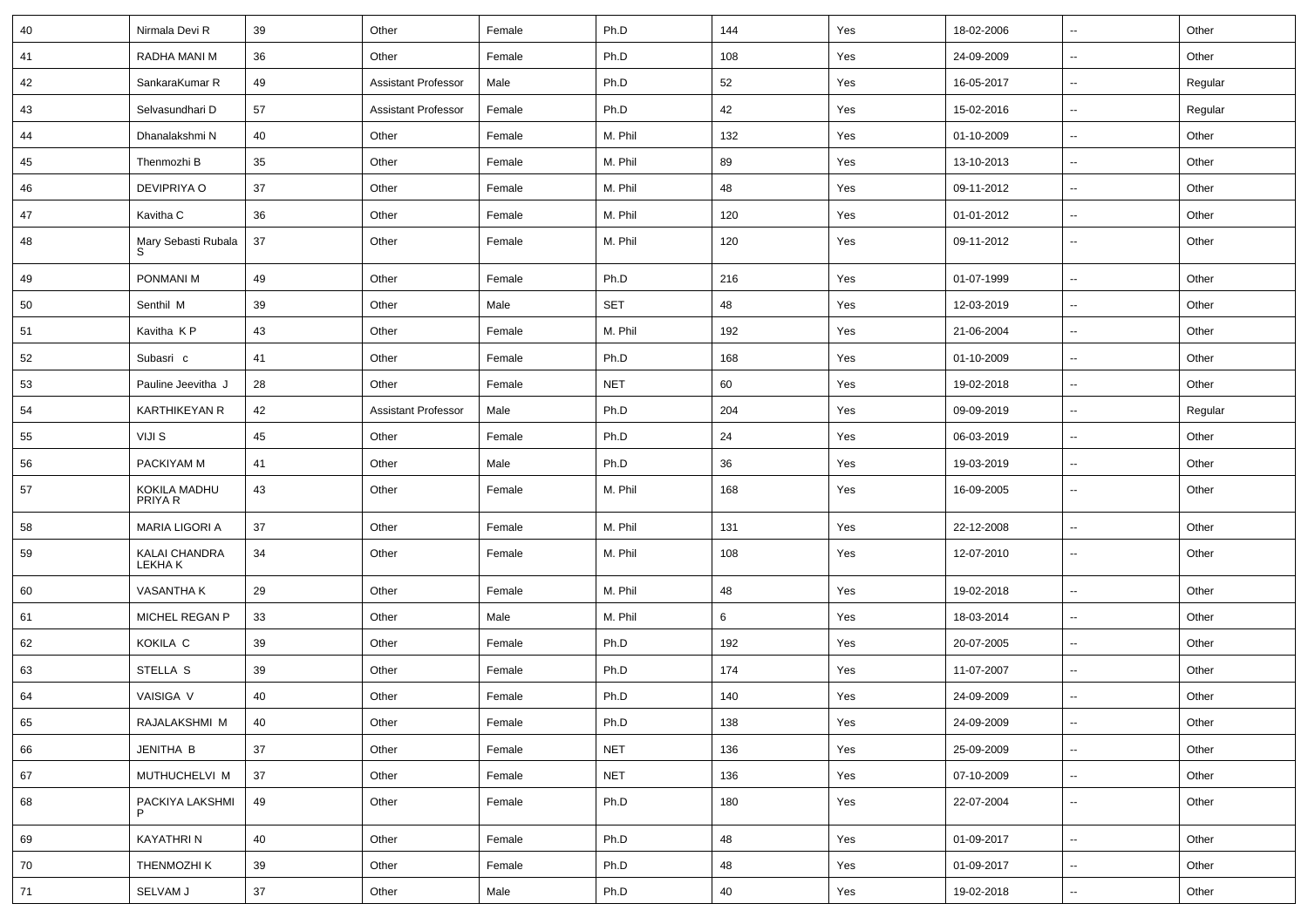| 40   | Nirmala Devi R                 | 39 | Other                      | Female | Ph.D       | 144 | Yes | 18-02-2006 | Ξ.                       | Other   |
|------|--------------------------------|----|----------------------------|--------|------------|-----|-----|------------|--------------------------|---------|
| 41   | RADHA MANI M                   | 36 | Other                      | Female | Ph.D       | 108 | Yes | 24-09-2009 | $\overline{\phantom{a}}$ | Other   |
| 42   | SankaraKumar R                 | 49 | <b>Assistant Professor</b> | Male   | Ph.D       | 52  | Yes | 16-05-2017 | $\sim$                   | Regular |
| 43   | Selvasundhari D                | 57 | <b>Assistant Professor</b> | Female | Ph.D       | 42  | Yes | 15-02-2016 | $\sim$                   | Regular |
| 44   | Dhanalakshmi N                 | 40 | Other                      | Female | M. Phil    | 132 | Yes | 01-10-2009 | $\overline{\phantom{a}}$ | Other   |
| 45   | Thenmozhi B                    | 35 | Other                      | Female | M. Phil    | 89  | Yes | 13-10-2013 | -−                       | Other   |
| 46   | DEVIPRIYA O                    | 37 | Other                      | Female | M. Phil    | 48  | Yes | 09-11-2012 | ш.                       | Other   |
| 47   | Kavitha C                      | 36 | Other                      | Female | M. Phil    | 120 | Yes | 01-01-2012 | ⊶.                       | Other   |
| 48   | Mary Sebasti Rubala<br>S       | 37 | Other                      | Female | M. Phil    | 120 | Yes | 09-11-2012 | ⊶.                       | Other   |
| 49   | PONMANI M                      | 49 | Other                      | Female | Ph.D       | 216 | Yes | 01-07-1999 | ⊶.                       | Other   |
| 50   | Senthil M                      | 39 | Other                      | Male   | SET        | 48  | Yes | 12-03-2019 | $\sim$                   | Other   |
| 51   | Kavitha KP                     | 43 | Other                      | Female | M. Phil    | 192 | Yes | 21-06-2004 | --                       | Other   |
| 52   | Subasri c                      | 41 | Other                      | Female | Ph.D       | 168 | Yes | 01-10-2009 | ⊷.                       | Other   |
| 53   | Pauline Jeevitha J             | 28 | Other                      | Female | <b>NET</b> | 60  | Yes | 19-02-2018 | $\overline{\phantom{a}}$ | Other   |
| 54   | <b>KARTHIKEYAN R</b>           | 42 | <b>Assistant Professor</b> | Male   | Ph.D       | 204 | Yes | 09-09-2019 | $\overline{\phantom{a}}$ | Regular |
| 55   | VIJI S                         | 45 | Other                      | Female | Ph.D       | 24  | Yes | 06-03-2019 | ⊶.                       | Other   |
| 56   | PACKIYAM M                     | 41 | Other                      | Male   | Ph.D       | 36  | Yes | 19-03-2019 | $\sim$                   | Other   |
| 57   | KOKILA MADHU<br>PRIYA R        | 43 | Other                      | Female | M. Phil    | 168 | Yes | 16-09-2005 | --                       | Other   |
| 58   | <b>MARIA LIGORI A</b>          | 37 | Other                      | Female | M. Phil    | 131 | Yes | 22-12-2008 | $\overline{\phantom{a}}$ | Other   |
| 59   | KALAI CHANDRA<br><b>LEKHAK</b> | 34 | Other                      | Female | M. Phil    | 108 | Yes | 12-07-2010 | ⊷.                       | Other   |
| 60   | VASANTHA K                     | 29 | Other                      | Female | M. Phil    | 48  | Yes | 19-02-2018 | ⊷.                       | Other   |
| 61   | MICHEL REGAN P                 | 33 | Other                      | Male   | M. Phil    | 6   | Yes | 18-03-2014 | $\sim$                   | Other   |
| 62   | KOKILA C                       | 39 | Other                      | Female | Ph.D       | 192 | Yes | 20-07-2005 | $\overline{\phantom{a}}$ | Other   |
| 63   | STELLA S                       | 39 | Other                      | Female | Ph.D       | 174 | Yes | 11-07-2007 | ⊶.                       | Other   |
| 64   | VAISIGA V                      | 40 | Other                      | Female | Ph.D       | 140 | Yes | 24-09-2009 | Щ,                       | Other   |
| 65   | RAJALAKSHMI M                  | 40 | Other                      | Female | Ph.D       | 138 | Yes | 24-09-2009 | --                       | Other   |
| 66   | JENITHA B                      | 37 | Other                      | Female | <b>NET</b> | 136 | Yes | 25-09-2009 | н.                       | Other   |
| 67   | MUTHUCHELVI M                  | 37 | Other                      | Female | <b>NET</b> | 136 | Yes | 07-10-2009 | $\overline{\phantom{a}}$ | Other   |
| 68   | PACKIYA LAKSHMI                | 49 | Other                      | Female | Ph.D       | 180 | Yes | 22-07-2004 | $\sim$                   | Other   |
| 69   | KAYATHRI N                     | 40 | Other                      | Female | Ph.D       | 48  | Yes | 01-09-2017 | $\sim$                   | Other   |
| 70   | THENMOZHI K                    | 39 | Other                      | Female | Ph.D       | 48  | Yes | 01-09-2017 | ⊶.                       | Other   |
| $71$ | SELVAM J                       | 37 | Other                      | Male   | Ph.D       | 40  | Yes | 19-02-2018 | н,                       | Other   |